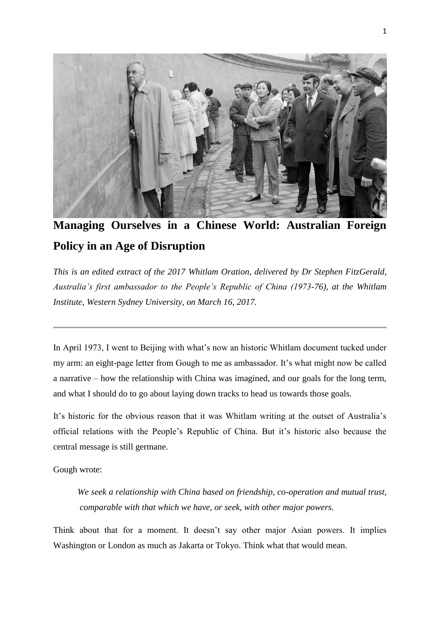

**Managing Ourselves in a Chinese World: Australian Foreign Policy in an Age of Disruption**

*This is an edited extract of the 2017 Whitlam Oration, delivered by Dr Stephen FitzGerald, Australia's first ambassador to the People's Republic of China (1973-76), at the Whitlam Institute, Western Sydney University, on March 16, 2017.*

In April 1973, I went to Beijing with what's now an historic Whitlam document tucked under my arm: an eight-page letter from Gough to me as ambassador. It's what might now be called a narrative – how the relationship with China was imagined, and our goals for the long term, and what I should do to go about laying down tracks to head us towards those goals.

It's historic for the obvious reason that it was Whitlam writing at the outset of Australia's official relations with the People's Republic of China. But it's historic also because the central message is still germane.

Gough wrote:

*We seek a relationship with China based on friendship, co-operation and mutual trust, comparable with that which we have, or seek, with other major powers.*

Think about that for a moment. It doesn't say other major Asian powers. It implies Washington or London as much as Jakarta or Tokyo. Think what that would mean.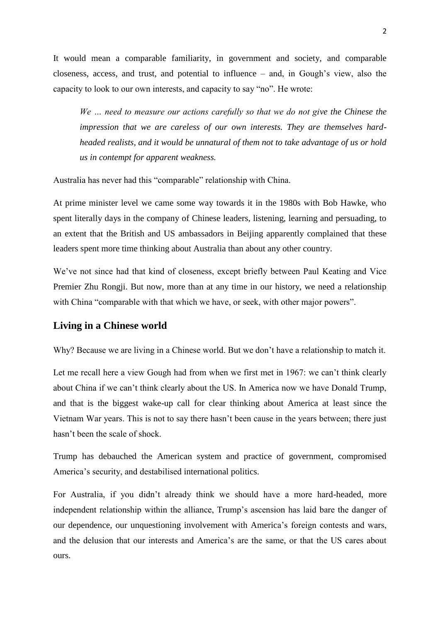It would mean a comparable familiarity, in government and society, and comparable closeness, access, and trust, and potential to influence – and, in Gough's view, also the capacity to look to our own interests, and capacity to say "no". He wrote:

*We … need to measure our actions carefully so that we do not give the Chinese the impression that we are careless of our own interests. They are themselves hardheaded realists, and it would be unnatural of them not to take advantage of us or hold us in contempt for apparent weakness.*

Australia has never had this "comparable" relationship with China.

At prime minister level we came some way towards it in the 1980s with Bob Hawke, who spent literally days in the company of Chinese leaders, listening, learning and persuading, to an extent that the British and US ambassadors in Beijing apparently complained that these leaders spent more time thinking about Australia than about any other country.

We've not since had that kind of closeness, except briefly between Paul Keating and Vice Premier Zhu Rongji. But now, more than at any time in our history, we need a relationship with China "comparable with that which we have, or seek, with other major powers".

## **Living in a Chinese world**

Why? Because we are living in a Chinese world. But we don't have a relationship to match it.

Let me recall here a view Gough had from when we first met in 1967: we can't think clearly about China if we can't think clearly about the US. In America now we have Donald Trump, and that is the biggest wake-up call for clear thinking about America at least since the Vietnam War years. This is not to say there hasn't been cause in the years between; there just hasn't been the scale of shock.

Trump has debauched the American system and practice of government, compromised America's security, and destabilised international politics.

For Australia, if you didn't already think we should have a more hard-headed, more independent relationship within the alliance, Trump's ascension has laid bare the danger of our dependence, our unquestioning involvement with America's foreign contests and wars, and the delusion that our interests and America's are the same, or that the US cares about ours.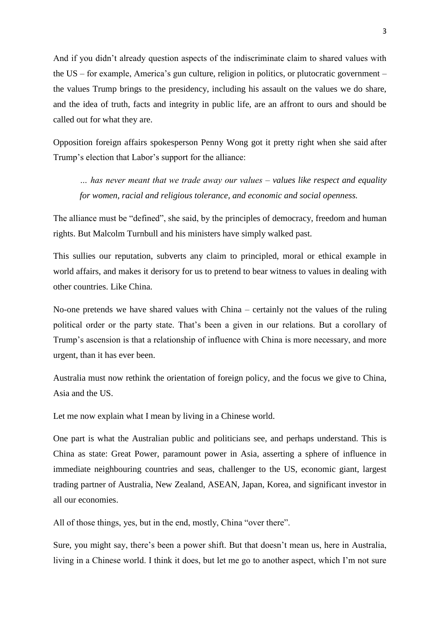And if you didn't already question aspects of the indiscriminate claim to shared values with the US – for example, America's gun culture, religion in politics, or plutocratic government – the values Trump brings to the presidency, including his assault on the values we do share, and the idea of truth, facts and integrity in public life, are an affront to ours and should be called out for what they are.

Opposition foreign affairs spokesperson Penny Wong got it pretty right [when she said](http://www.smh.com.au/comment/trumps-election-is-a-turning-point-for-australian-foreign-policy-20161114-gsp5kd.html) after Trump's election that Labor's support for the alliance:

*… has never meant that we trade away our values – values like respect and equality for women, racial and religious tolerance, and economic and social openness.*

The alliance must be "defined", she said, by the principles of democracy, freedom and human rights. But Malcolm Turnbull and his ministers have simply walked past.

This sullies our reputation, subverts any claim to principled, moral or ethical example in world affairs, and makes it derisory for us to pretend to bear witness to values in dealing with other countries. Like China.

No-one pretends we have shared values with China – certainly not the values of the ruling political order or the party state. That's been a given in our relations. But a corollary of Trump's ascension is that a relationship of influence with China is more necessary, and more urgent, than it has ever been.

Australia must now rethink the orientation of foreign policy, and the focus we give to China, Asia and the US.

Let me now explain what I mean by living in a Chinese world.

One part is what the Australian public and politicians see, and perhaps understand. This is China as state: Great Power, paramount power in Asia, asserting a sphere of influence in immediate neighbouring countries and seas, challenger to the US, economic giant, largest trading partner of Australia, New Zealand, ASEAN, Japan, Korea, and significant investor in all our economies.

All of those things, yes, but in the end, mostly, China "over there".

Sure, you might say, there's been a power shift. But that doesn't mean us, here in Australia, living in a Chinese world. I think it does, but let me go to another aspect, which I'm not sure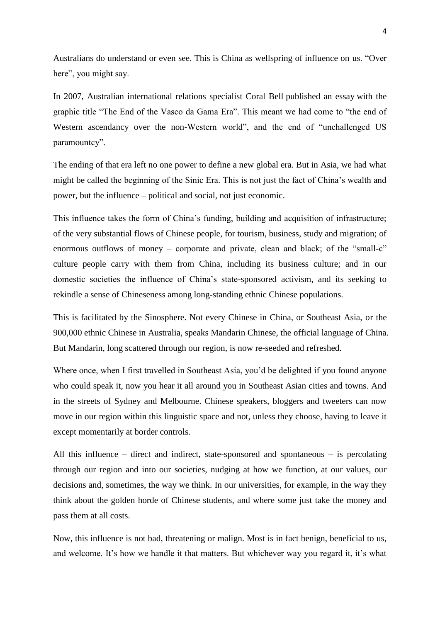Australians do understand or even see. This is China as wellspring of influence on us. "Over here", you might say.

In 2007, Australian international relations specialist Coral Bell [published an essay](https://www.lowyinstitute.org/sites/default/files/pubfiles/LIP21_BellWEB_1.pdf) with the graphic title "The End of the Vasco da Gama Era". This meant we had come to "the end of Western ascendancy over the non-Western world", and the end of "unchallenged US paramountcy".

The ending of that era left no one power to define a new global era. But in Asia, we had what might be called the beginning of the Sinic Era. This is not just the fact of China's wealth and power, but the influence – political and social, not just economic.

This influence takes the form of China's funding, building and acquisition of infrastructure; of the very substantial flows of Chinese people, for tourism, business, study and migration; of enormous outflows of money – corporate and private, clean and black; of the "small-c" culture people carry with them from China, including its business culture; and in our domestic societies the influence of China's state-sponsored activism, and its seeking to rekindle a sense of Chineseness among long-standing ethnic Chinese populations.

This is facilitated by the Sinosphere. Not every Chinese in China, or Southeast Asia, or the 900,000 ethnic Chinese in Australia, speaks Mandarin Chinese, the official language of China. But Mandarin, long scattered through our region, is now re-seeded and refreshed.

Where once, when I first travelled in Southeast Asia, you'd be delighted if you found anyone who could speak it, now you hear it all around you in Southeast Asian cities and towns. And in the streets of Sydney and Melbourne. Chinese speakers, bloggers and tweeters can now move in our region within this linguistic space and not, unless they choose, having to leave it except momentarily at border controls.

All this influence – direct and indirect, state-sponsored and spontaneous – is percolating through our region and into our societies, nudging at how we function, at our values, our decisions and, sometimes, the way we think. In our universities, for example, in the way they think about the golden horde of Chinese students, and where some just take the money and pass them at all costs.

Now, this influence is not bad, threatening or malign. Most is in fact benign, beneficial to us, and welcome. It's how we handle it that matters. But whichever way you regard it, it's what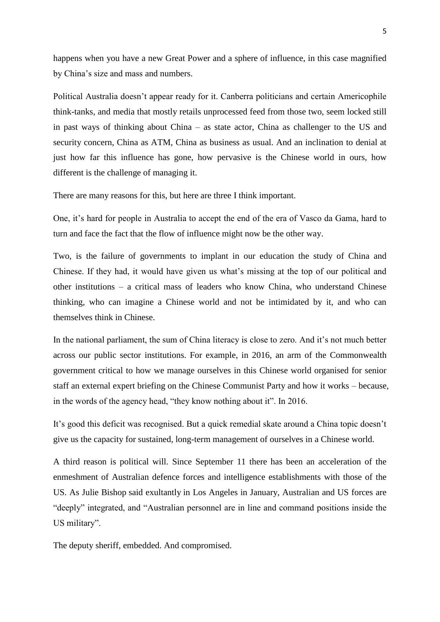happens when you have a new Great Power and a sphere of influence, in this case magnified by China's size and mass and numbers.

Political Australia doesn't appear ready for it. Canberra politicians and certain Americophile think-tanks, and media that mostly retails unprocessed feed from those two, seem locked still in past ways of thinking about China – as state actor, China as challenger to the US and security concern, China as ATM, China as business as usual. And an inclination to denial at just how far this influence has gone, how pervasive is the Chinese world in ours, how different is the challenge of managing it.

There are many reasons for this, but here are three I think important.

One, it's hard for people in Australia to accept the end of the era of Vasco da Gama, hard to turn and face the fact that the flow of influence might now be the other way.

Two, is the failure of governments to implant in our education the study of China and Chinese. If they had, it would have given us what's missing at the top of our political and other institutions – a critical mass of leaders who know China, who understand Chinese thinking, who can imagine a Chinese world and not be intimidated by it, and who can themselves think in Chinese.

In the national parliament, the sum of China literacy is close to zero. And it's not much better across our public sector institutions. For example, in 2016, an arm of the Commonwealth government critical to how we manage ourselves in this Chinese world organised for senior staff an external expert briefing on the Chinese Communist Party and how it works – because, in the words of the agency head, "they know nothing about it". In 2016.

It's good this deficit was recognised. But a quick remedial skate around a China topic doesn't give us the capacity for sustained, long-term management of ourselves in a Chinese world.

A third reason is political will. Since September 11 there has been an acceleration of the enmeshment of Australian defence forces and intelligence establishments with those of the US. As Julie Bishop said [exultantly](http://foreignminister.gov.au/speeches/Pages/2017/jb_sp_170126.aspx) in Los Angeles in January, Australian and US forces are "deeply" integrated, and "Australian personnel are in line and command positions inside the US military".

The deputy sheriff, embedded. And compromised.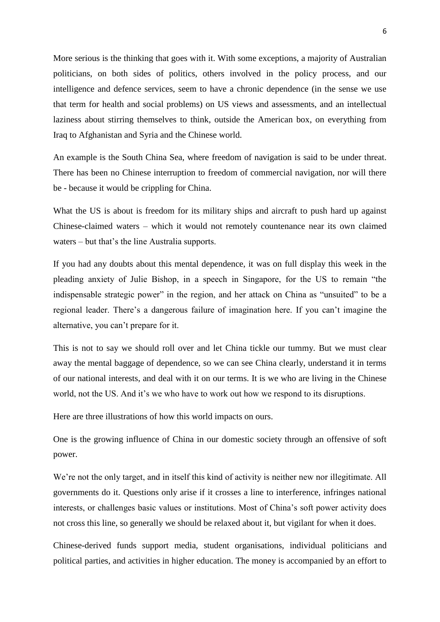More serious is the thinking that goes with it. With some exceptions, a majority of Australian politicians, on both sides of politics, others involved in the policy process, and our intelligence and defence services, seem to have a chronic dependence (in the sense we use that term for health and social problems) on US views and assessments, and an intellectual laziness about stirring themselves to think, outside the American box, on everything from Iraq to Afghanistan and Syria and the Chinese world.

An example is the South China Sea, where freedom of navigation is said to be under threat. There has been no Chinese interruption to freedom of commercial navigation, nor will there be - because it would be crippling for China.

What the US is about is freedom for its military ships and aircraft to push hard up against Chinese-claimed waters – which it would not remotely countenance near its own claimed waters – but that's the line Australia supports.

If you had any doubts about this mental dependence, it was on full display this week in the pleading anxiety of Julie Bishop, in a speech in Singapore, for the US to remain "the indispensable strategic power" in the region, and her attack on China as "unsuited" to be a regional leader. There's a dangerous failure of imagination here. If you can't imagine the alternative, you can't prepare for it.

This is not to say we should roll over and let China tickle our tummy. But we must clear away the mental baggage of dependence, so we can see China clearly, understand it in terms of our national interests, and deal with it on our terms. It is we who are living in the Chinese world, not the US. And it's we who have to work out how we respond to its disruptions.

Here are three illustrations of how this world impacts on ours.

One is the growing influence of China in our domestic society through an offensive of soft power.

We're not the only target, and in itself this kind of activity is neither new nor illegitimate. All governments do it. Questions only arise if it crosses a line to interference, infringes national interests, or challenges basic values or institutions. Most of China's soft power activity does not cross this line, so generally we should be relaxed about it, but vigilant for when it does.

Chinese-derived funds support media, student organisations, individual politicians and political parties, and activities in higher education. The money is accompanied by an effort to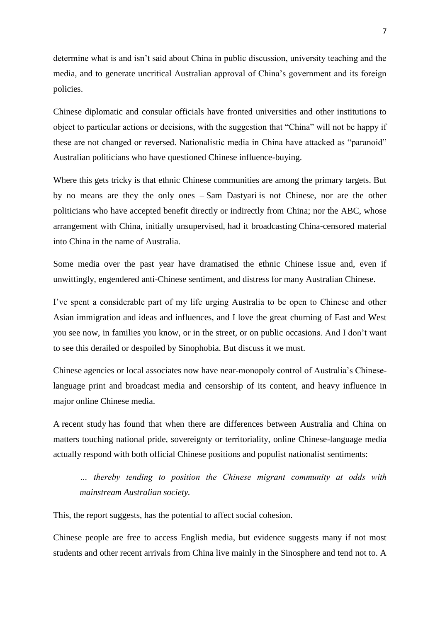determine what is and isn't said about China in public discussion, university teaching and the media, and to generate uncritical Australian approval of China's government and its foreign policies.

Chinese diplomatic and consular officials have fronted universities and other institutions to object to particular actions or decisions, with the suggestion that "China" will not be happy if these are not changed or reversed. Nationalistic media in China have attacked as "paranoid" Australian politicians who have questioned Chinese influence-buying.

Where this gets tricky is that ethnic Chinese communities are among the primary targets. But by no means are they the only ones – [Sam Dastyari](http://www.abc.net.au/news/2016-09-06/sam-dastyari-apologises-for-chinese-bill-deal/7819464) is not Chinese, nor are the other politicians who have accepted benefit directly or indirectly from China; nor the ABC, whose arrangement with China, initially unsupervised, [had it broadcasting](https://www.theguardian.com/media/2016/apr/15/abc-rejects-criticism-its-chinese-web-portal-bows-to-beijing-censorship) China-censored material into China in the name of Australia.

Some media over the past year have dramatised the ethnic Chinese issue and, even if unwittingly, engendered anti-Chinese sentiment, and distress for many Australian Chinese.

I've spent a considerable part of my life urging Australia to be open to Chinese and other Asian immigration and ideas and influences, and I love the great churning of East and West you see now, in families you know, or in the street, or on public occasions. And I don't want to see this derailed or despoiled by Sinophobia. But discuss it we must.

Chinese agencies or local associates now have near-monopoly control of Australia's Chineselanguage print and broadcast media and censorship of its content, and heavy influence in major online Chinese media.

A [recent study](http://www.australiachinarelations.org/sites/default/files/1609%20Australia-China%20Relations%20Institute%20Publication%20-%20Chinese-language%20media%20in%20Australia%20Developments%2C%20challenges%20and%20opportunities_0.pdf) has found that when there are differences between Australia and China on matters touching national pride, sovereignty or territoriality, online Chinese-language media actually respond with both official Chinese positions and populist nationalist sentiments:

*… thereby tending to position the Chinese migrant community at odds with mainstream Australian society.*

This, the report suggests, has the potential to affect social cohesion.

Chinese people are free to access English media, but evidence suggests many if not most students and other recent arrivals from China live mainly in the Sinosphere and tend not to. A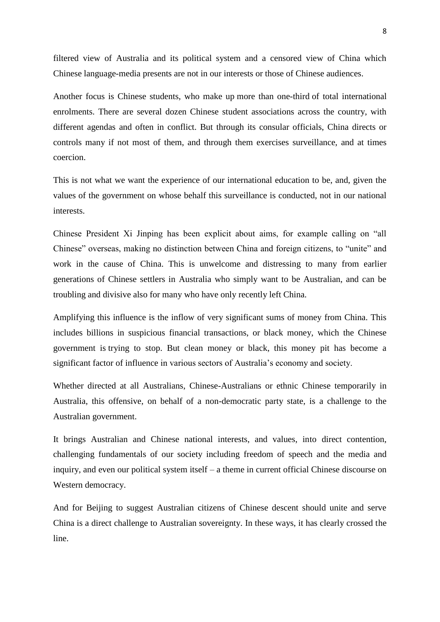filtered view of Australia and its political system and a censored view of China which Chinese language-media presents are not in our interests or those of Chinese audiences.

Another focus is Chinese students, who make up [more than one-third](http://www.iie.org/Services/Project-Atlas/Australia/International-Students-In-Australia#.WMiF1RKGN0I) of total international enrolments. There are several dozen Chinese student associations across the country, with different agendas and often in conflict. But through its consular officials, China directs or controls many if not most of them, and through them exercises surveillance, and at times coercion.

This is not what we want the experience of our international education to be, and, given the values of the government on whose behalf this surveillance is conducted, not in our national interests.

Chinese President Xi Jinping has been explicit about aims, for example calling on "all Chinese" overseas, making no distinction between China and foreign citizens, to "unite" and work in the cause of China. This is unwelcome and distressing to many from earlier generations of Chinese settlers in Australia who simply want to be Australian, and can be troubling and divisive also for many who have only recently left China.

Amplifying this influence is the inflow of very significant sums of money from China. This includes billions in suspicious financial transactions, or black money, which the Chinese government is [trying to stop.](http://timesofindia.indiatimes.com/world/china/China-steps-up-crack-down-on-black-money/articleshow/55755935.cms) But clean money or black, this money pit has become a significant [factor of influence](http://www.michaelwest.com.au/house-prices-surge-on-china-black-money-authorities-dither/) in various sectors of Australia's economy and society.

Whether directed at all Australians, Chinese-Australians or ethnic Chinese temporarily in Australia, this offensive, on behalf of a non-democratic party state, is a challenge to the Australian government.

It brings Australian and Chinese national interests, and values, into direct contention, challenging fundamentals of our society including freedom of speech and the media and inquiry, and even our political system itself – [a theme](http://chinamatters.org.au/wp-content/uploads/2016/09/Session-III-Discussion-Paper-1.pdf) in current official Chinese discourse on Western democracy.

And for Beijing to suggest Australian citizens of Chinese descent should unite and serve China is a direct challenge to Australian sovereignty. In these ways, it has clearly crossed the line.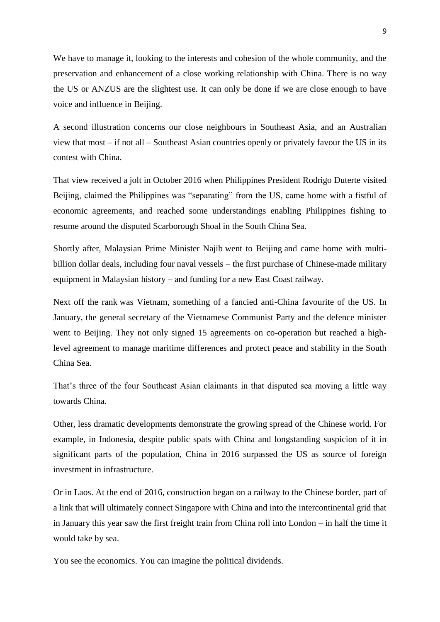We have to manage it, looking to the interests and cohesion of the whole community, and the preservation and enhancement of a close working relationship with China. There is no way the US or ANZUS are the slightest use. It can only be done if we are close enough to have voice and influence in Beijing.

A second illustration concerns our close neighbours in Southeast Asia, and an Australian view that most – if not all – Southeast Asian countries openly or privately favour the US in its contest with China.

That view received a jolt in October 2016 when Philippines President Rodrigo Duterte [visited](http://edition.cnn.com/2016/10/20/asia/china-philippines-duterte-visit/)  [Beijing,](http://edition.cnn.com/2016/10/20/asia/china-philippines-duterte-visit/) claimed the Philippines was "separating" from the US, came home with a fistful of economic agreements, and reached some understandings enabling Philippines fishing to resume around the disputed Scarborough Shoal in the South China Sea.

Shortly after, Malaysian Prime Minister Najib [went to Beijing](https://www.theguardian.com/world/2016/nov/01/malaysia-najib-razak-defence-deal-china-beijing-visit) and came home with multibillion dollar deals, including four naval vessels – the first purchase of Chinese-made military equipment in Malaysian history – and funding for a new East Coast railway.

Next off the rank [was Vietnam,](http://english.vietnamnet.vn/fms/government/171226/vietnamese-defence-minister-meets-chinese-counterpart-in-beijing.html) something of a fancied anti-China favourite of the US. In January, the general secretary of the Vietnamese Communist Party and the defence minister went to Beijing. They not only signed 15 agreements on co-operation but reached a highlevel agreement to manage maritime differences and protect peace and stability in the South China Sea.

That's three of the four Southeast Asian claimants in that disputed sea moving a little way towards China.

Other, less dramatic developments demonstrate the growing spread of the Chinese world. For example, in Indonesia, despite public spats with China and longstanding suspicion of it in significant parts of the population, China in 2016 surpassed the US as source of foreign investment in infrastructure.

Or in Laos. At the end of 2016, [construction began](http://www.railwaygazette.com/news/infrastructure/single-view/view/construction-starts-on-china-laos-railway.html) on a railway to the Chinese border, part of a link that will ultimately connect Singapore with China and into the intercontinental grid that in January this year saw the first freight train from China roll into London – in half the time it would take by sea.

You see the economics. You can imagine the political dividends.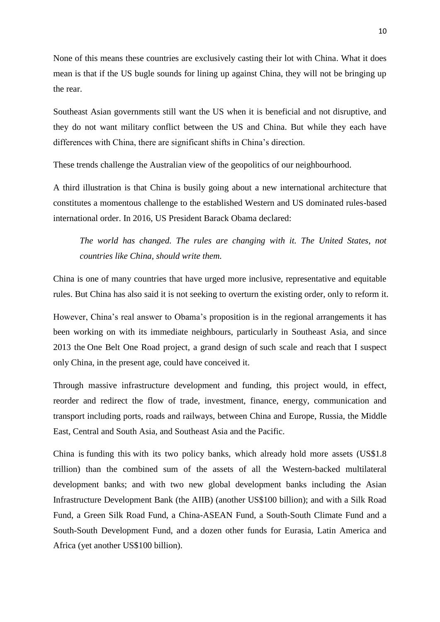None of this means these countries are exclusively casting their lot with China. What it does mean is that if the US bugle sounds for lining up against China, they will not be bringing up the rear.

Southeast Asian governments still want the US when it is beneficial and not disruptive, and they do not want military conflict between the US and China. But while they each have differences with China, there are significant shifts in China's direction.

These trends challenge the Australian view of the geopolitics of our neighbourhood.

A third illustration is that China is busily going about a new international architecture that constitutes a momentous challenge to the established Western and US dominated rules-based international order. In 2016, US President Barack Obama [declared:](https://www.washingtonpost.com/opinions/president-obama-the-tpp-would-let-america-not-china-lead-the-way-on-global-trade/2016/05/02/680540e4-0fd0-11e6-93ae-50921721165d_story.html?utm_term=.850993c84f0d)

*The world has changed. The rules are changing with it. The United States, not countries like China, should write them.*

China is one of many countries that have urged more inclusive, representative and equitable rules. But China has also said it is not seeking to overturn the existing order, only to reform it.

However, China's real answer to Obama's proposition is in the regional arrangements it has been working on with its immediate neighbours, particularly in Southeast Asia, and since 2013 the [One Belt One Road project,](https://theconversation.com/china-will-need-to-be-more-transparent-to-achieve-its-development-goals-67464) a grand design of [such scale and reach](http://www.aph.gov.au/About_Parliament/Parliamentary_Departments/Parliamentary_Library/pubs/BriefingBook45p/ChinasRoad) that I suspect only China, in the present age, could have conceived it.

Through massive infrastructure development and funding, this project would, in effect, reorder and redirect the flow of trade, investment, finance, energy, communication and transport including ports, roads and railways, between China and Europe, Russia, the Middle East, Central and South Asia, and Southeast Asia and the Pacific.

China is [funding this](http://johnmenadue.com/blog/?p=9261) with its two policy banks, which already hold more assets (US\$1.8 trillion) than the combined sum of the assets of all the Western-backed multilateral development banks; and with two new global development banks including the Asian Infrastructure Development Bank (the AIIB) (another US\$100 billion); and with a Silk Road Fund, a Green Silk Road Fund, a China-ASEAN Fund, a South-South Climate Fund and a South-South Development Fund, and a dozen other funds for Eurasia, Latin America and Africa (yet another US\$100 billion).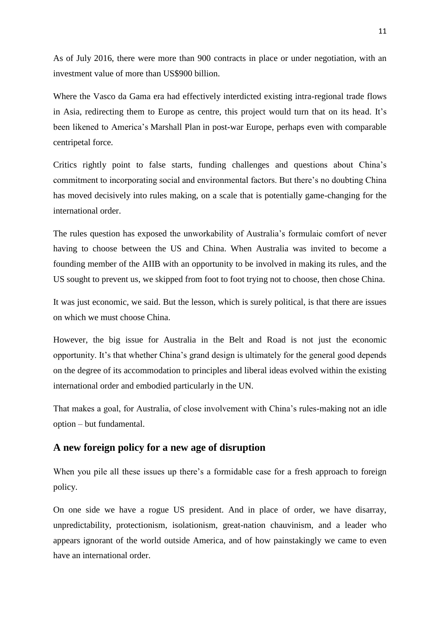As of July 2016, there were more than 900 contracts in place or under negotiation, with an investment value of more than US\$900 billion.

Where the Vasco da Gama era had effectively interdicted existing intra-regional trade flows in Asia, redirecting them to Europe as centre, this project would turn that on its head. It's been likened to America's [Marshall Plan](http://www.history.com/topics/world-war-ii/marshall-plan) in post-war Europe, perhaps even with comparable centripetal force.

Critics rightly point to false starts, funding challenges and questions about China's commitment to incorporating social and environmental factors. But there's no doubting China has moved decisively into rules making, on a scale that is potentially game-changing for the international order.

The rules question has exposed the unworkability of Australia's formulaic comfort of never having to choose between the US and China. When Australia was invited to become a founding member of the AIIB with an opportunity to be involved in making its rules, and the US sought to prevent us, we skipped from foot to foot trying not to choose, then chose China.

It was just economic, we said. But the lesson, which is surely political, is that there are issues on which we must choose China.

However, the big issue for Australia in the Belt and Road is not just the economic opportunity. It's that whether China's grand design is ultimately for the general good depends on the degree of its accommodation to principles and liberal ideas evolved within the existing international order and embodied particularly in the UN.

That makes a goal, for Australia, of close involvement with China's rules-making not an idle option – but fundamental.

## **A new foreign policy for a new age of disruption**

When you pile all these issues up there's a formidable case for a fresh approach to foreign policy.

On one side we have a rogue US president. And in place of order, we have disarray, unpredictability, protectionism, isolationism, great-nation chauvinism, and a leader who appears ignorant of the world outside America, and of how painstakingly we came to even have an international order.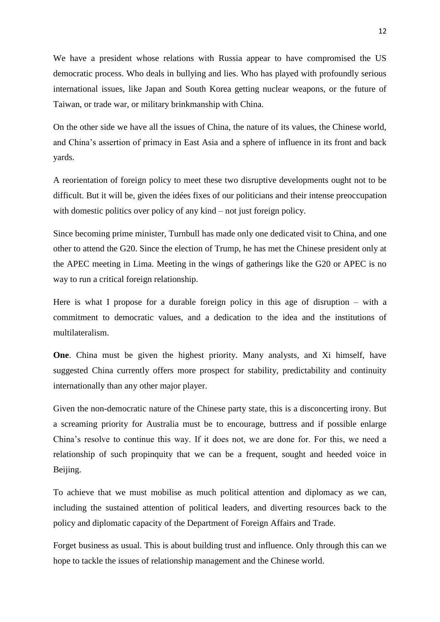We have a president whose relations with Russia appear to have compromised the US democratic process. Who deals in bullying and lies. Who has played with profoundly serious international issues, like Japan and South Korea getting nuclear weapons, or the future of Taiwan, or trade war, or military brinkmanship with China.

On the other side we have all the issues of China, the nature of its values, the Chinese world, and China's assertion of primacy in East Asia and a sphere of influence in its front and back yards.

A reorientation of foreign policy to meet these two disruptive developments ought not to be difficult. But it will be, given the idées fixes of our politicians and their intense preoccupation with domestic politics [over policy of any kind](http://news.nab.com.au/nab-chairman-ken-henrys-speech-at-ceda/) – not just foreign policy.

Since becoming prime minister, Turnbull has made only one dedicated visit to China, and one other to attend the G20. Since the election of Trump, he has met the Chinese president only at the APEC meeting in Lima. Meeting in the wings of gatherings like the G20 or APEC is no way to run a critical foreign relationship.

Here is what I propose for a durable foreign policy in this age of disruption – with a commitment to democratic values, and a dedication to the idea and the institutions of multilateralism.

**One**. China must be given the highest priority. Many analysts, and Xi himself, have suggested China currently offers more prospect for stability, predictability and continuity internationally than any other major player.

Given the non-democratic nature of the Chinese party state, this is a disconcerting irony. But a screaming priority for Australia must be to encourage, buttress and if possible enlarge China's resolve to continue this way. If it does not, we are done for. For this, we need a relationship of such propinquity that we can be a frequent, sought and heeded voice in Beijing.

To achieve that we must mobilise as much political attention and diplomacy as we can, including the sustained attention of political leaders, and diverting resources back to the policy and diplomatic capacity of the Department of Foreign Affairs and Trade.

Forget business as usual. This is about building trust and influence. Only through this can we hope to tackle the issues of relationship management and the Chinese world.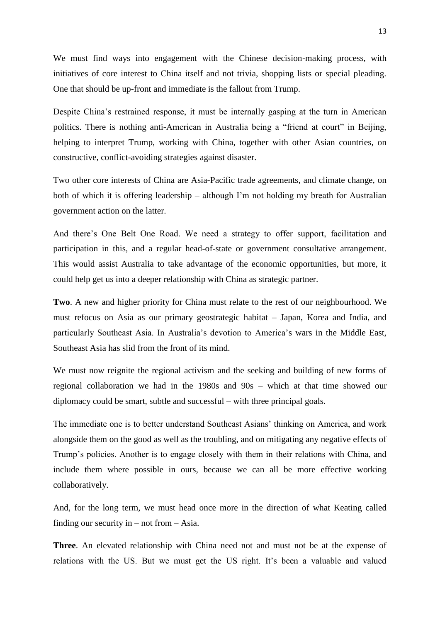We must find ways into engagement with the Chinese decision-making process, with initiatives of core interest to China itself and not trivia, shopping lists or special pleading. One that should be up-front and immediate is the fallout from Trump.

Despite China's restrained response, it must be internally gasping at the turn in American politics. There is nothing anti-American in Australia being a "friend at court" in Beijing, helping to interpret Trump, working with China, together with other Asian countries, on constructive, conflict-avoiding strategies against disaster.

Two other core interests of China are Asia-Pacific trade agreements, and climate change, on both of which it is offering leadership – although I'm not holding my breath for Australian government action on the latter.

And there's One Belt One Road. We need a strategy to offer support, facilitation and participation in this, and a regular head-of-state or government consultative arrangement. This would assist Australia to take advantage of the economic opportunities, but more, it could help get us into a deeper relationship with China as strategic partner.

**Two**. A new and higher priority for China must relate to the rest of our neighbourhood. We must refocus on Asia as our primary geostrategic habitat – Japan, Korea and India, and particularly Southeast Asia. In Australia's devotion to America's wars in the Middle East, Southeast Asia has slid from the front of its mind.

We must now reignite the regional activism and the seeking and building of new forms of regional collaboration we had in the 1980s and 90s – which at that time showed our diplomacy could be smart, subtle and successful – with three principal goals.

The immediate one is to better understand Southeast Asians' thinking on America, and work alongside them on the good as well as the troubling, and on mitigating any negative effects of Trump's policies. Another is to engage closely with them in their relations with China, and include them where possible in ours, because we can all be more effective working collaboratively.

And, for the long term, we must head once more in the direction of what Keating called finding our security in – not from – Asia.

**Three**. An elevated relationship with China need not and must not be at the expense of relations with the US. But we must get the US right. It's been a valuable and valued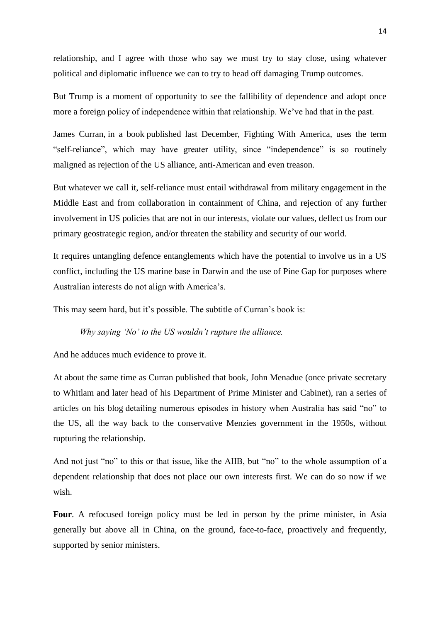relationship, and I agree with those who say we must try to stay close, using whatever political and diplomatic influence we can to try to head off damaging Trump outcomes.

But Trump is a moment of opportunity to see the fallibility of dependence and adopt once more a foreign policy of independence within that relationship. We've had that in the past.

James Curran, [in a book](https://www.lowyinstitute.org/publications/fighting-america) published last December, Fighting With America, uses the term "self-reliance", which may have greater utility, since "independence" is so routinely maligned as rejection of the US alliance, anti-American and even treason.

But whatever we call it, self-reliance must entail withdrawal from military engagement in the Middle East and from collaboration in containment of China, and rejection of any further involvement in US policies that are not in our interests, violate our values, deflect us from our primary geostrategic region, and/or threaten the stability and security of our world.

It requires untangling defence entanglements which have the potential to involve us in a US conflict, including the US marine base in Darwin and the [use of Pine Gap](https://theconversation.com/fifty-years-on-pine-gap-should-reform-to-better-serve-australia-65650) for purposes where Australian interests do not align with America's.

This may seem hard, but it's possible. The subtitle of Curran's book is:

*Why saying 'No' to the US wouldn't rupture the alliance.*

And he adduces much evidence to prove it.

At about the same time as Curran published that book, John Menadue (once private secretary to Whitlam and later head of his Department of Prime Minister and Cabinet), ran a [series of](http://johnmenadue.com/?tag=series-no)  [articles on his blog](http://johnmenadue.com/?tag=series-no) detailing numerous episodes in history when Australia has said "no" to the US, all the way back to the conservative Menzies government in the 1950s, without rupturing the relationship.

And not just "no" to this or that issue, like the AIIB, but "no" to the whole assumption of a dependent relationship that does not place our own interests first. We can do so now if we wish.

Four. A refocused foreign policy must be led in person by the prime minister, in Asia generally but above all in China, on the ground, face-to-face, proactively and frequently, supported by senior ministers.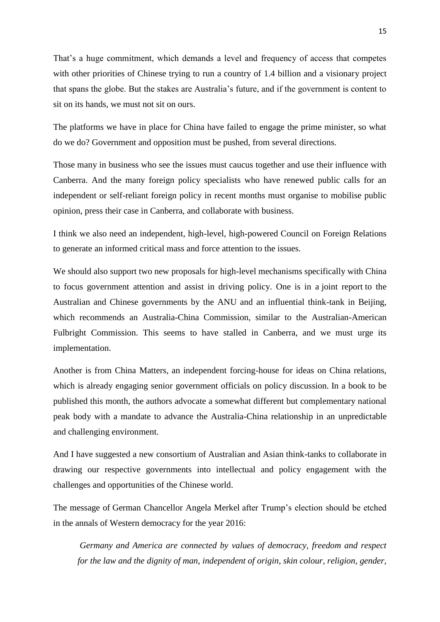That's a huge commitment, which demands a level and frequency of access that competes with other priorities of Chinese trying to run a country of 1.4 billion and a visionary project that spans the globe. But the stakes are Australia's future, and if the government is content to sit on its hands, we must not sit on ours.

The platforms we have in place for China have failed to engage the prime minister, so what do we do? Government and opposition must be pushed, from several directions.

Those many in business who see the issues must caucus together and use their influence with Canberra. And the many foreign policy specialists who have renewed public calls for an independent or self-reliant foreign policy in recent months must organise to mobilise public opinion, press their case in Canberra, and collaborate with business.

I think we also need an independent, high-level, high-powered Council on Foreign Relations to generate an informed critical mass and force attention to the issues.

We should also support two new proposals for high-level mechanisms specifically with China to focus government attention and assist in driving policy. One is in a [joint report](http://press-files.anu.edu.au/downloads/press/n2068/pdf/book.pdf?referer=2068) to the Australian and Chinese governments by the ANU and an influential think-tank in Beijing, which recommends an Australia-China Commission, similar to the Australian-American Fulbright Commission. This seems to have stalled in Canberra, and we must urge its implementation.

Another is from China Matters, an independent forcing-house for ideas on China relations, which is already engaging senior government officials on policy discussion. [In a book](https://www.blackincbooks.com.au/books/china-matters) to be published this month, the authors advocate a somewhat different but complementary national peak body with a mandate to advance the Australia-China relationship in an unpredictable and challenging environment.

And I have suggested a new consortium of Australian and Asian think-tanks to collaborate in drawing our respective governments into intellectual and policy engagement with the challenges and opportunities of the Chinese world.

The message of [German Chancellor Angela Merkel](http://www.huffingtonpost.co.uk/entry/angela-merkel-germany-donald-trump-us-election-warning_uk_582313c5e4b020461a1e8713) after Trump's election should be etched in the annals of Western democracy for the year 2016:

*Germany and America are connected by values of democracy, freedom and respect for the law and the dignity of man, independent of origin, skin colour, religion, gender,*